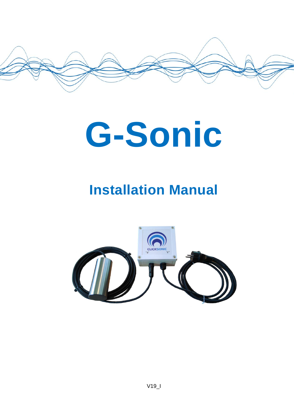

# **G-Sonic**

# **Installation Manual**

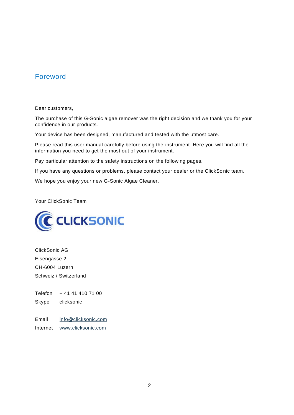#### Foreword

Dear customers,

The purchase of this G-Sonic algae remover was the right decision and we thank you for your confidence in our products.

Your device has been designed, manufactured and tested with the utmost care.

Please read this user manual carefully before using the instrument. Here you will find all the information you need to get the most out of your instrument.

Pay particular attention to the safety instructions on the following pages.

If you have any questions or problems, please contact your dealer or the ClickSo nic team.

We hope you enjoy your new G-Sonic Algae Cleaner.

Your ClickSonic Team



ClickSonic AG Eisengasse 2 CH-6004 Luzern Schweiz / Switzerland

Telefon + 41 41 410 71 00

Skype clicksonic

Email [info@clicksonic.com](mailto:info@clicksonic.com) Internet [www.clicksonic.com](http://www.clicksonic.com/)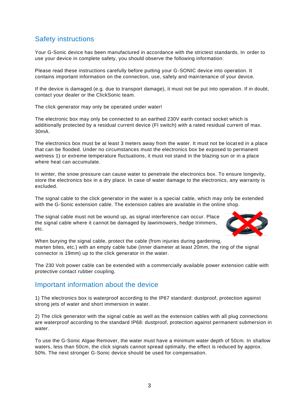# Safety instructions

Your G-Sonic device has been manufactured in accordance with the strictest standards. In order to use your device in complete safety, you should observe the following information:

Please read these instructions carefully before putting your G-SONIC device into operation. It contains important information on the connection, use, safety and maintenance of your device.

If the device is damaged (e.g. due to transport damage), it must not be put into operation. If in doubt, contact your dealer or the ClickSonic team.

The click generator may only be operated under water!

The electronic box may only be connected to an earthed 230V earth contact socket which is additionally protected by a residual current device (FI switch) with a rated residual current of max. 30mA.

The electronics box must be at least 3 meters away from the water. It must not be locat ed in a place that can be flooded. Under no circumstances must the electronics box be exposed to permanent wetness 1) or extreme temperature fluctuations, it must not stand in the blazing sun or in a place where heat can accumulate.

In winter, the snow pressure can cause water to penetrate the electronics box. To ensure longevity, store the electronics box in a dry place. In case of water damage to the electronics, any warranty is excluded.

The signal cable to the click generator in the water is a special cable, which may only be extended with the G-Sonic extension cable. The extension cables are available in the online shop.

The signal cable must not be wound up, as signal interference can occur. Place the signal cable where it cannot be damaged by lawnmowers, hedge trimmers, etc.



When burying the signal cable, protect the cable (from injuries during gardening, marten bites, etc.) with an empty cable tube (inner diameter at least 20mm, the ring of the signal connector is 19mm) up to the click generator in the water.

The 230 Volt power cable can be extended with a commercially available power extension cable with protective contact rubber coupling.

#### Important information about the device

1) The electronics box is waterproof according to the IP67 standard: dustproof, protection against strong jets of water and short immersion in water.

2) The click generator with the signal cable as well as the extension cables with all plug connections are waterproof according to the standard IP68: dustproof, protection against permanent submersion in water.

To use the G-Sonic Algae Remover, the water must have a minimum water depth of 50cm. In shallow waters, less than 50cm, the click signals cannot spread optimally, the effect is reduced by approx. 50%. The next stronger G-Sonic device should be used for compensation.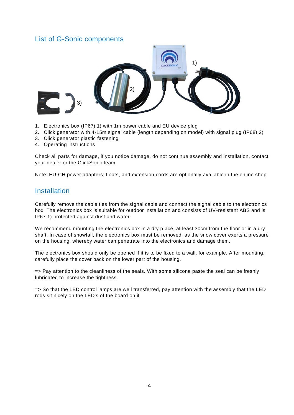#### List of G-Sonic components



- 1. Electronics box (IP67) 1) with 1m power cable and EU device plug
- 2. Click generator with 4-15m signal cable (length depending on model) with signal plug (IP68) 2)
- 3. Click generator plastic fastening
- 4. Operating instructions

Check all parts for damage, if you notice damage, do not continue assembly and installation, contact your dealer or the ClickSonic team.

Note: EU-CH power adapters, floats, and extension cords are optionally available in the online shop.

#### **Installation**

Carefully remove the cable ties from the signal cable and connect the signal cable to the electronics box. The electronics box is suitable for outdoor installation and consists of UV-resistant ABS and is IP67 1) protected against dust and water.

We recommend mounting the electronics box in a dry place, at least 30cm from the floor or in a dry shaft. In case of snowfall, the electronics box must be removed, as the snow cover exerts a pressure on the housing, whereby water can penetrate into the electronics and damage them.

The electronics box should only be opened if it is to be fixed to a wall, for example. After mounting, carefully place the cover back on the lower part of the housing.

=> Pay attention to the cleanliness of the seals. With some silicone paste the seal can be freshly lubricated to increase the tightness.

=> So that the LED control lamps are well transferred, pay attention with the assembly that the LED rods sit nicely on the LED's of the board on it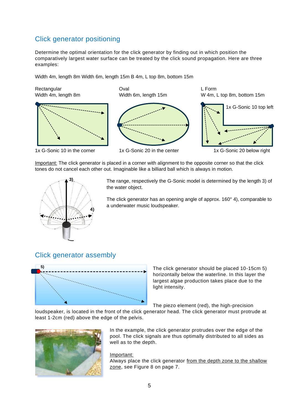## Click generator positioning

Determine the optimal orientation for the click generator by finding out in which position the comparatively largest water surface can be treated by the click sound propagation. Here are three examples:

Width 4m, length 8m Width 6m, length 15m B 4m, L top 8m, bottom 15m

Rectangular Coval Coval Coval Coval Coval Coval Coval Coval Coval Coval Coval Coval Coval Coval Coval Coval Coval Coval Coval Coval Coval Coval Coval Coval Coval Coval Coval Coval Coval Coval Coval Coval Coval Coval Coval



1x G-Sonic 10 in the corner 1x G-Sonic 20 in the center 1x G-Sonic 20 below right







Important: The click generator is placed in a corner with alignment to the opposite corner so that the click tones do not cancel each other out. Imaginable like a billiard ball which is always in motion.



The range, respectively the G-Sonic model is determined by the length 3) of the water object.

The click generator has an opening angle of approx. 160° 4), comparable to a underwater music loudspeaker.

#### Click generator assembly



The click generator should be placed 10-15cm 5) horizontally below the waterline. In this layer the largest algae production takes place due to the light intensity.

The piezo element (red), the high-precision

loudspeaker, is located in the front of the click generator head. The click generator must protrude at least 1-2cm (red) above the edge of the pelvis.



In the example, the click generator protrudes over the edge of the pool. The click signals are thus optimally distributed to all sides as well as to the depth.

Important:

Always place the click generator from the depth zone to the shallow zone, see Figure 8 on page 7.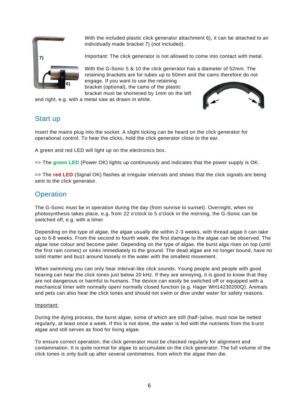

With the included plastic click generator attachment 6), it can be attached to an individually made bracket 7) (not included).

Important: The click generator is not allowed to come into contact with metal.

With the G-Sonic 5 & 10 the click generator has a diameter of 52mm. The retaining brackets are for tubes up to 50mm and the cams therefore do not engage. If you want to use the retaining

bracket (optional), the cams of the plastic bracket must be shortened by 1mm on the left

and right, e.g. with a metal saw as drawn in white.



### Start up

Insert the mains plug into the socket. A slight ticking can be heard on the click generator for operational control. To hear the clicks, hold the click generator close to the ear.

A green and red LED will light up on the electronics box.

=> The **green LED** (Power OK) lights up continuously and indicates that the power supply is OK.

=> The **red LED** (Signal OK) flashes at irregular intervals and shows that the click signals are being sent to the click generator.

#### **Operation**

The G-Sonic must be in operation during the day (from sunrise to sunset). Overnight, when no photosynthesis takes place, e.g. from 22 o'clock to 5 o'clock in the morning, the G-Sonic can be switched off, e.g. with a timer.

Depending on the type of algae, the algae usually die within 2-3 weeks, with thread algae it can take up to 6-8 weeks. From the second to fourth week, the first damage to the algae can be observed. The algae lose colour and become paler. Depending on the type of algae, the burst alga rises on top (until the first rain comes) or sinks immediately to the ground. The dead algae are no longer bound, have no solid matter and buzz around loosely in the water with the smallest movement.

When swimming you can only hear interval-like click sounds. Young people and people with good hearing can hear the click tones just below 20 kHz. If they are annoying, it is good to know th at they are not dangerous or harmful to humans. The device can easily be switched off or equipped with a mechanical timer with normally open/ normally closed function (e.g. Hager WH14230200Q). Animals and pets can also hear the click tones and should not swim or dive under water for safety reasons.

#### Important:

During the dying process, the burst algae, some of which are still (half-)alive, must now be netted regularly, at least once a week. If this is not done, the water is fed with the nutrients from the b urst algae and still serves as food for living algae.

To ensure correct operation, the click generator must be checked regularly for alignment and contamination. It is quite normal for algae to accumulate on the click generator. The full volume of the click tones is only built up after several centimetres, from which the algae then die.